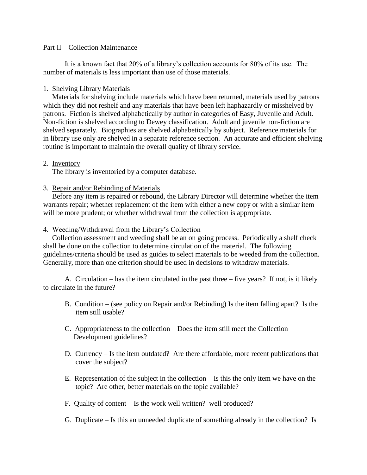#### Part II – Collection Maintenance

It is a known fact that 20% of a library's collection accounts for 80% of its use. The number of materials is less important than use of those materials.

### 1. Shelving Library Materials

 Materials for shelving include materials which have been returned, materials used by patrons which they did not reshelf and any materials that have been left haphazardly or misshelved by patrons. Fiction is shelved alphabetically by author in categories of Easy, Juvenile and Adult. Non-fiction is shelved according to Dewey classification. Adult and juvenile non-fiction are shelved separately. Biographies are shelved alphabetically by subject. Reference materials for in library use only are shelved in a separate reference section. An accurate and efficient shelving routine is important to maintain the overall quality of library service.

# 2. Inventory

The library is inventoried by a computer database.

# 3. Repair and/or Rebinding of Materials

 Before any item is repaired or rebound, the Library Director will determine whether the item warrants repair; whether replacement of the item with either a new copy or with a similar item will be more prudent; or whether withdrawal from the collection is appropriate.

### 4. Weeding/Withdrawal from the Library's Collection

 Collection assessment and weeding shall be an on going process. Periodically a shelf check shall be done on the collection to determine circulation of the material. The following guidelines/criteria should be used as guides to select materials to be weeded from the collection. Generally, more than one criterion should be used in decisions to withdraw materials.

A. Circulation – has the item circulated in the past three – five years? If not, is it likely to circulate in the future?

- B. Condition (see policy on Repair and/or Rebinding) Is the item falling apart? Is the item still usable?
- C. Appropriateness to the collection Does the item still meet the Collection Development guidelines?
- D. Currency Is the item outdated? Are there affordable, more recent publications that cover the subject?
- E. Representation of the subject in the collection Is this the only item we have on the topic? Are other, better materials on the topic available?
- F. Quality of content Is the work well written? well produced?
- G. Duplicate Is this an unneeded duplicate of something already in the collection? Is